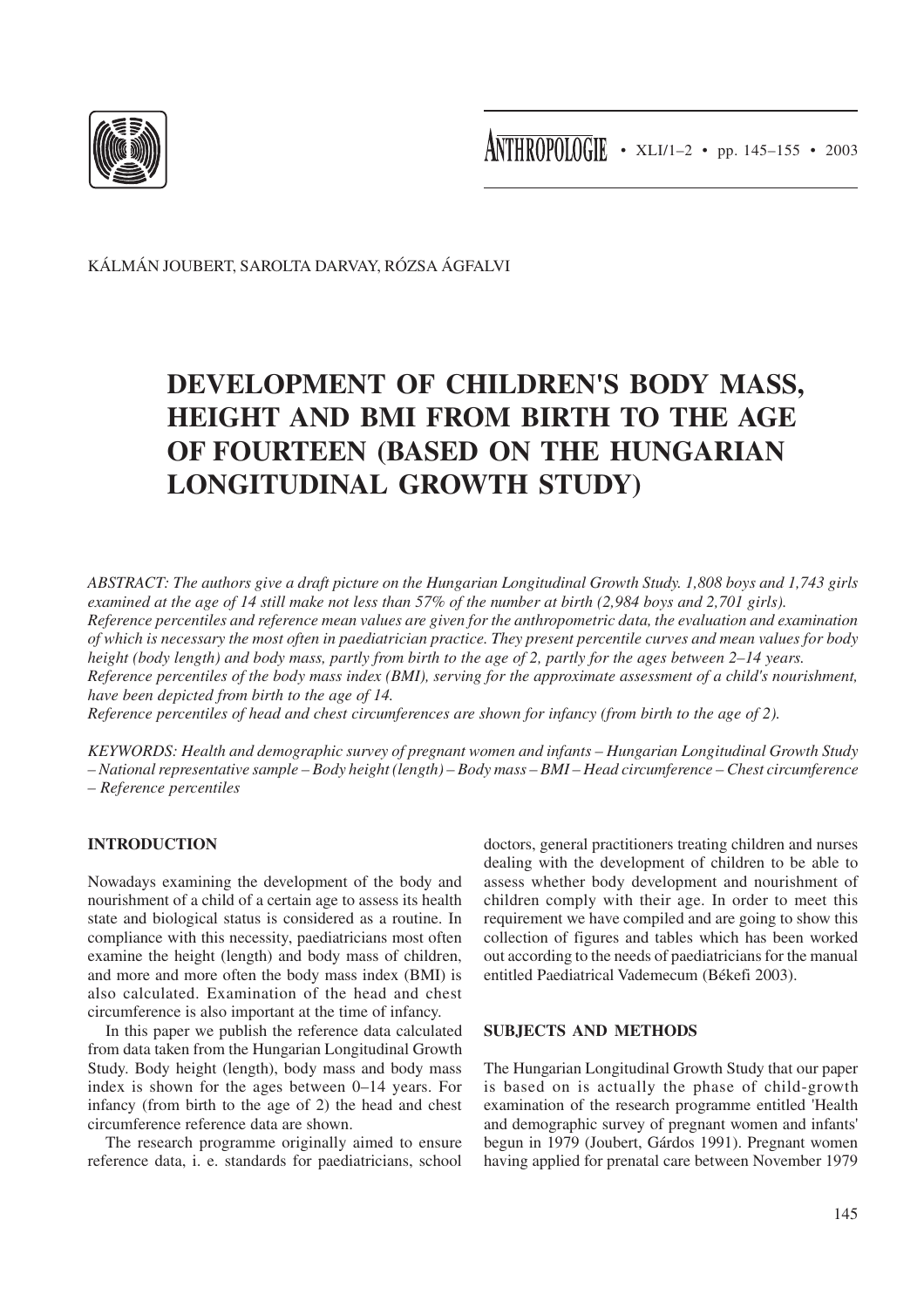

KÁLMÁN JOUBERT, SAROLTA DARVAY, RÓZSA ÁGFALVI

# **DEVELOPMENT OF CHILDREN'S BODY MASS, HEIGHT AND BMI FROM BIRTH TO THE AGE OF FOURTEEN (BASED ON THE HUNGARIAN LONGITUDINAL GROWTH STUDY)**

*ABSTRACT: The authors give a draft picture on the Hungarian Longitudinal Growth Study. 1,808 boys and 1,743 girls examined at the age of 14 still make not less than 57% of the number at birth (2,984 boys and 2,701 girls). Reference percentiles and reference mean values are given for the anthropometric data, the evaluation and examination of which is necessary the most often in paediatrician practice. They present percentile curves and mean values for body height (body length) and body mass, partly from birth to the age of 2, partly for the ages between 2–14 years. Reference percentiles of the body mass index (BMI), serving for the approximate assessment of a child's nourishment, have been depicted from birth to the age of 14.*

*Reference percentiles of head and chest circumferences are shown for infancy (from birth to the age of 2).*

*KEYWORDS: Health and demographic survey of pregnant women and infants – Hungarian Longitudinal Growth Study – National representative sample – Body height (length) – Body mass – BMI – Head circumference – Chest circumference – Reference percentiles*

# **INTRODUCTION**

Nowadays examining the development of the body and nourishment of a child of a certain age to assess its health state and biological status is considered as a routine. In compliance with this necessity, paediatricians most often examine the height (length) and body mass of children, and more and more often the body mass index (BMI) is also calculated. Examination of the head and chest circumference is also important at the time of infancy.

In this paper we publish the reference data calculated from data taken from the Hungarian Longitudinal Growth Study. Body height (length), body mass and body mass index is shown for the ages between 0–14 years. For infancy (from birth to the age of 2) the head and chest circumference reference data are shown.

The research programme originally aimed to ensure reference data, i. e. standards for paediatricians, school doctors, general practitioners treating children and nurses dealing with the development of children to be able to assess whether body development and nourishment of children comply with their age. In order to meet this requirement we have compiled and are going to show this collection of figures and tables which has been worked out according to the needs of paediatricians for the manual entitled Paediatrical Vademecum (Békefi 2003).

# **SUBJECTS AND METHODS**

The Hungarian Longitudinal Growth Study that our paper is based on is actually the phase of child-growth examination of the research programme entitled 'Health and demographic survey of pregnant women and infants' begun in 1979 (Joubert, Gárdos 1991). Pregnant women having applied for prenatal care between November 1979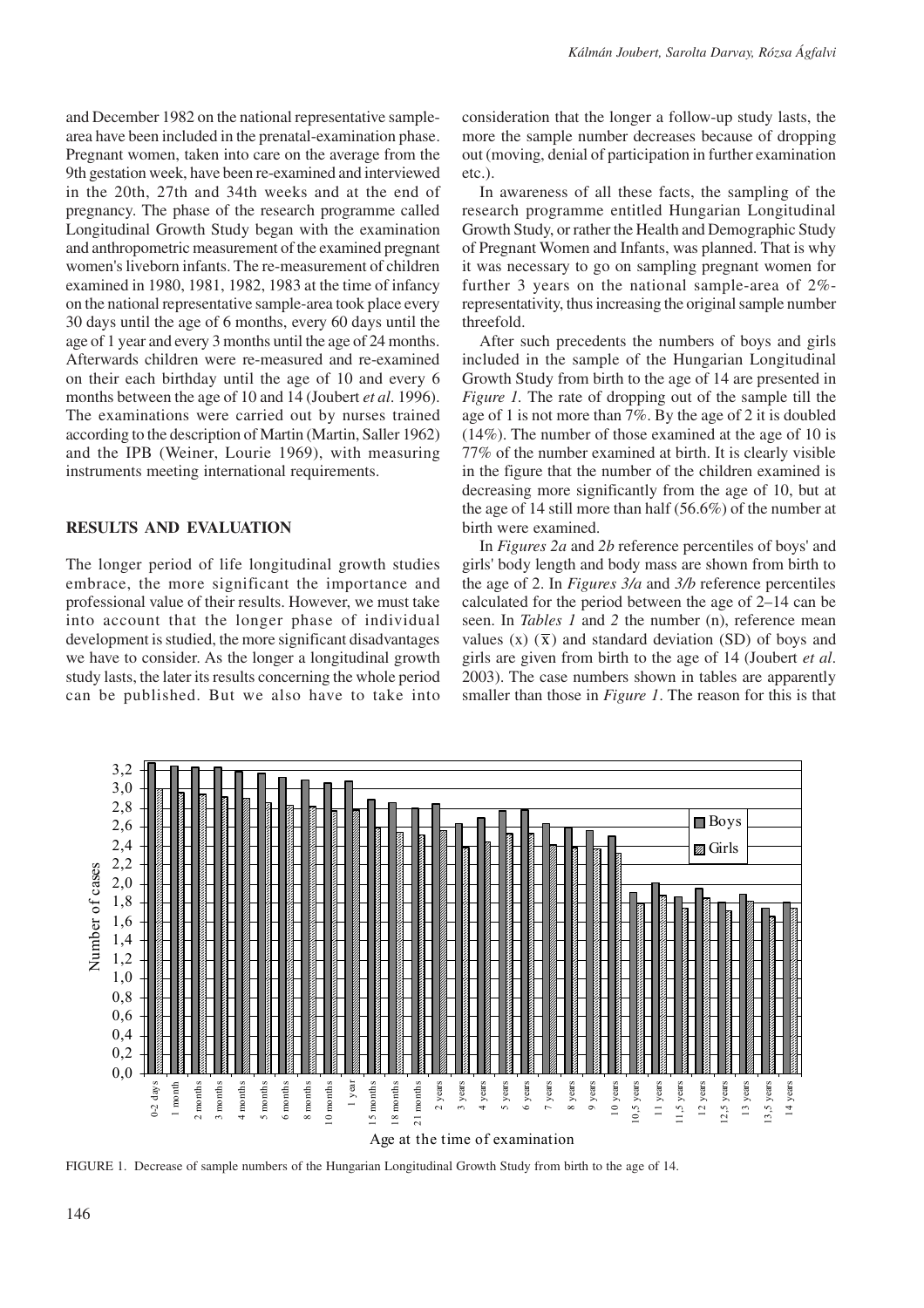and December 1982 on the national representative samplearea have been included in the prenatal-examination phase. Pregnant women, taken into care on the average from the 9th gestation week, have been re-examined and interviewed in the 20th, 27th and 34th weeks and at the end of pregnancy. The phase of the research programme called Longitudinal Growth Study began with the examination and anthropometric measurement of the examined pregnant women's liveborn infants. The re-measurement of children examined in 1980, 1981, 1982, 1983 at the time of infancy on the national representative sample-area took place every 30 days until the age of 6 months, every 60 days until the age of 1 year and every 3 months until the age of 24 months. Afterwards children were re-measured and re-examined on their each birthday until the age of 10 and every 6 months between the age of 10 and 14 (Joubert *et al*. 1996). The examinations were carried out by nurses trained according to the description of Martin (Martin, Saller 1962) and the IPB (Weiner, Lourie 1969), with measuring instruments meeting international requirements.

#### **RESULTS AND EVALUATION**

The longer period of life longitudinal growth studies embrace, the more significant the importance and professional value of their results. However, we must take into account that the longer phase of individual development is studied, the more significant disadvantages we have to consider. As the longer a longitudinal growth study lasts, the later its results concerning the whole period can be published. But we also have to take into consideration that the longer a follow-up study lasts, the more the sample number decreases because of dropping out (moving, denial of participation in further examination etc.).

In awareness of all these facts, the sampling of the research programme entitled Hungarian Longitudinal Growth Study, or rather the Health and Demographic Study of Pregnant Women and Infants, was planned. That is why it was necessary to go on sampling pregnant women for further 3 years on the national sample-area of 2% representativity, thus increasing the original sample number threefold.

After such precedents the numbers of boys and girls included in the sample of the Hungarian Longitudinal Growth Study from birth to the age of 14 are presented in *Figure 1.* The rate of dropping out of the sample till the age of 1 is not more than 7%. By the age of 2 it is doubled (14%). The number of those examined at the age of 10 is 77% of the number examined at birth. It is clearly visible in the figure that the number of the children examined is decreasing more significantly from the age of 10, but at the age of 14 still more than half (56.6%) of the number at birth were examined.

In *Figures 2a* and *2b* reference percentiles of boys' and girls' body length and body mass are shown from birth to the age of 2. In *Figures 3/a* and *3/b* reference percentiles calculated for the period between the age of 2–14 can be seen. In *Tables 1* and *2* the number (n), reference mean values  $(x)$   $(\bar{x})$  and standard deviation (SD) of boys and girls are given from birth to the age of 14 (Joubert *et al*. 2003). The case numbers shown in tables are apparently smaller than those in *Figure 1*. The reason for this is that



FIGURE 1. Decrease of sample numbers of the Hungarian Longitudinal Growth Study from birth to the age of 14.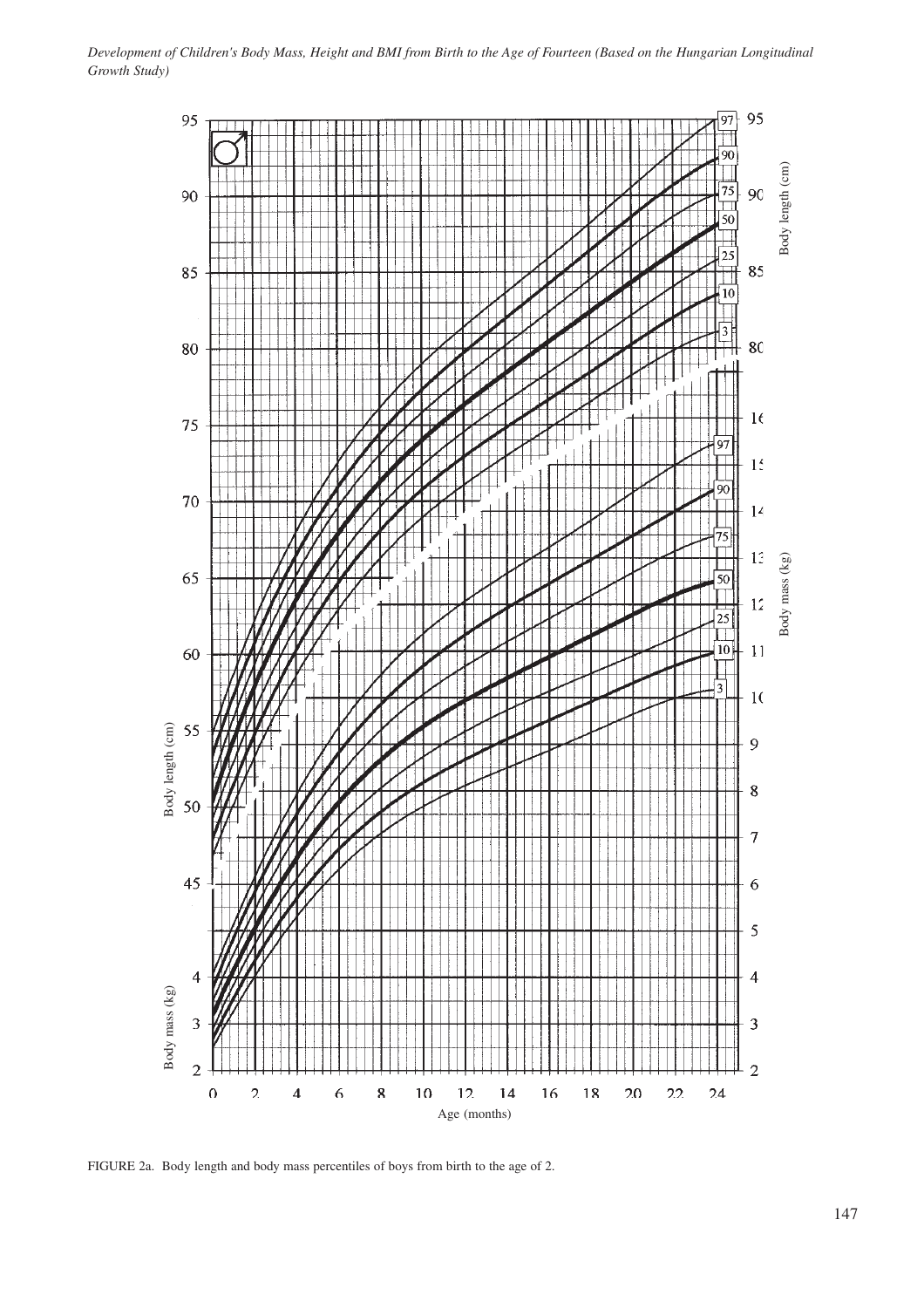

FIGURE 2a. Body length and body mass percentiles of boys from birth to the age of 2.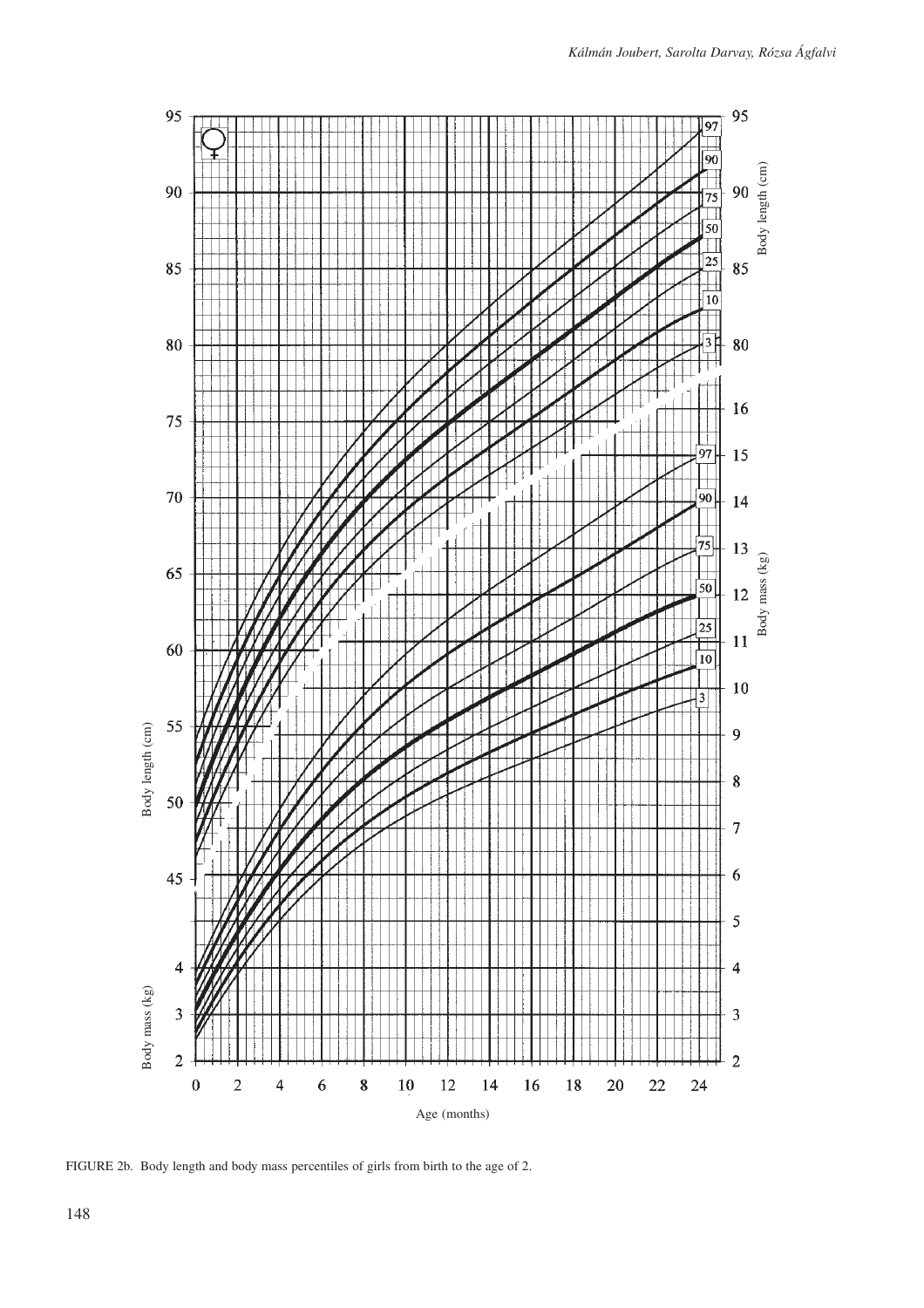

FIGURE 2b. Body length and body mass percentiles of girls from birth to the age of 2.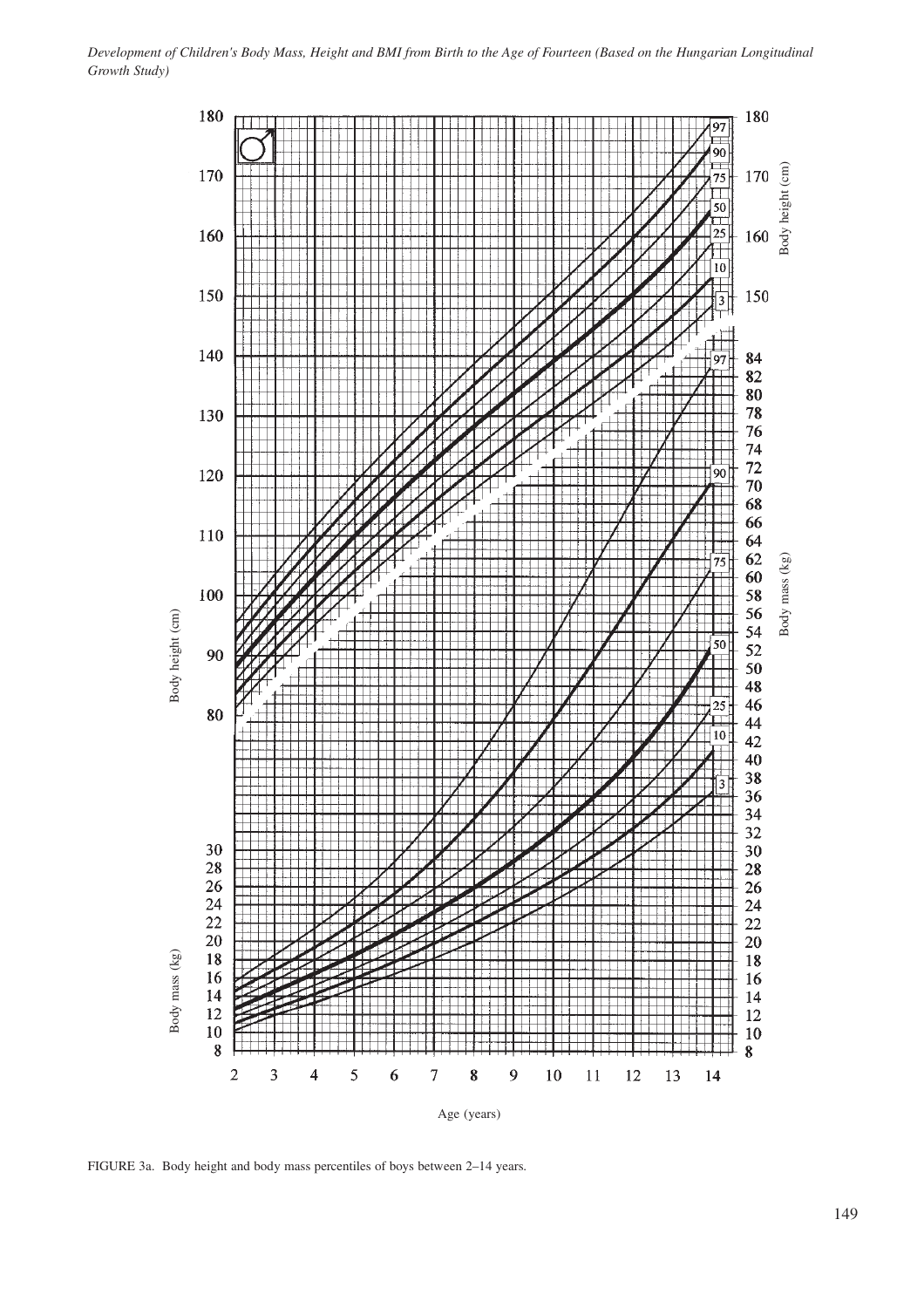

FIGURE 3a. Body height and body mass percentiles of boys between 2–14 years.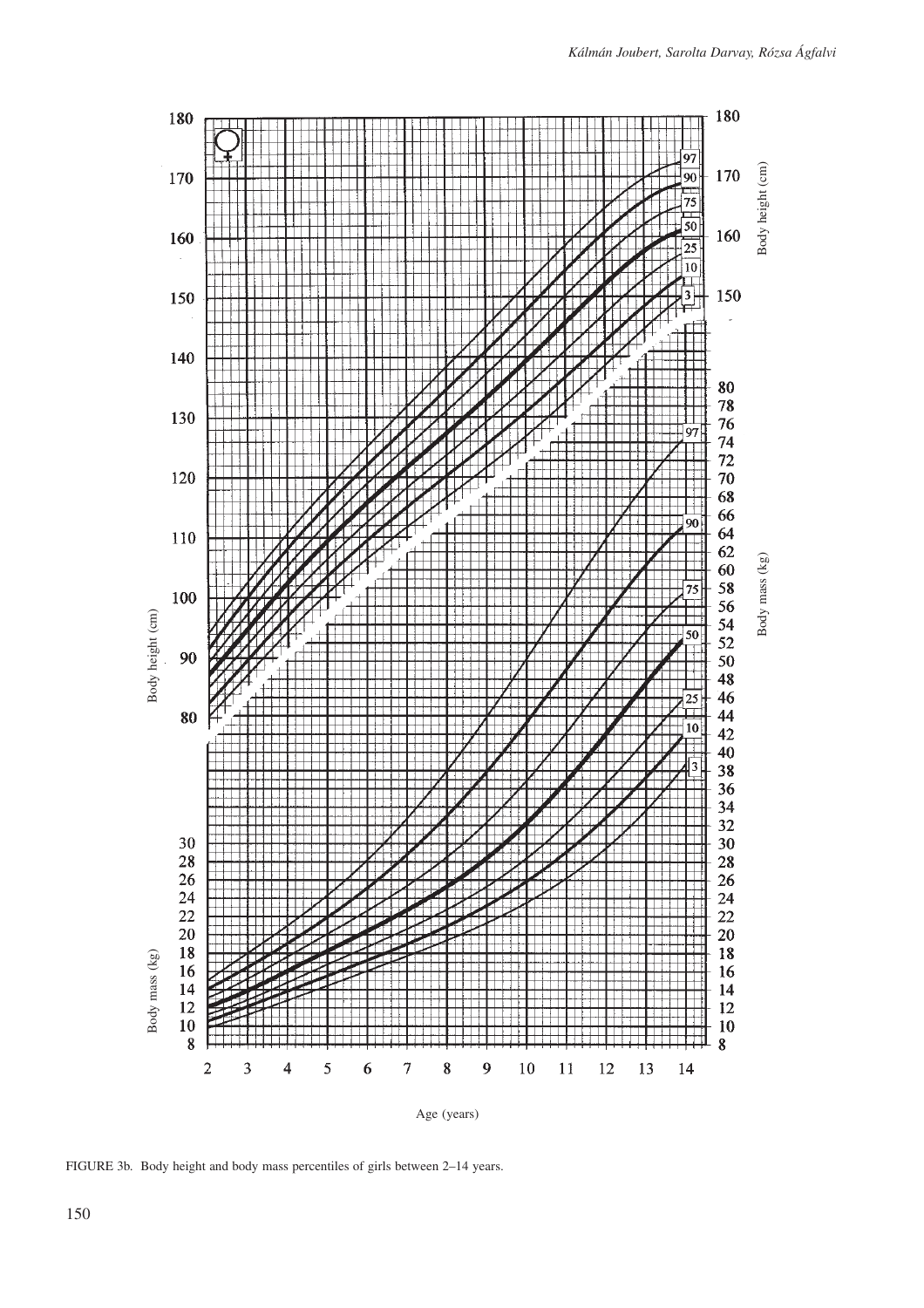

FIGURE 3b. Body height and body mass percentiles of girls between 2–14 years.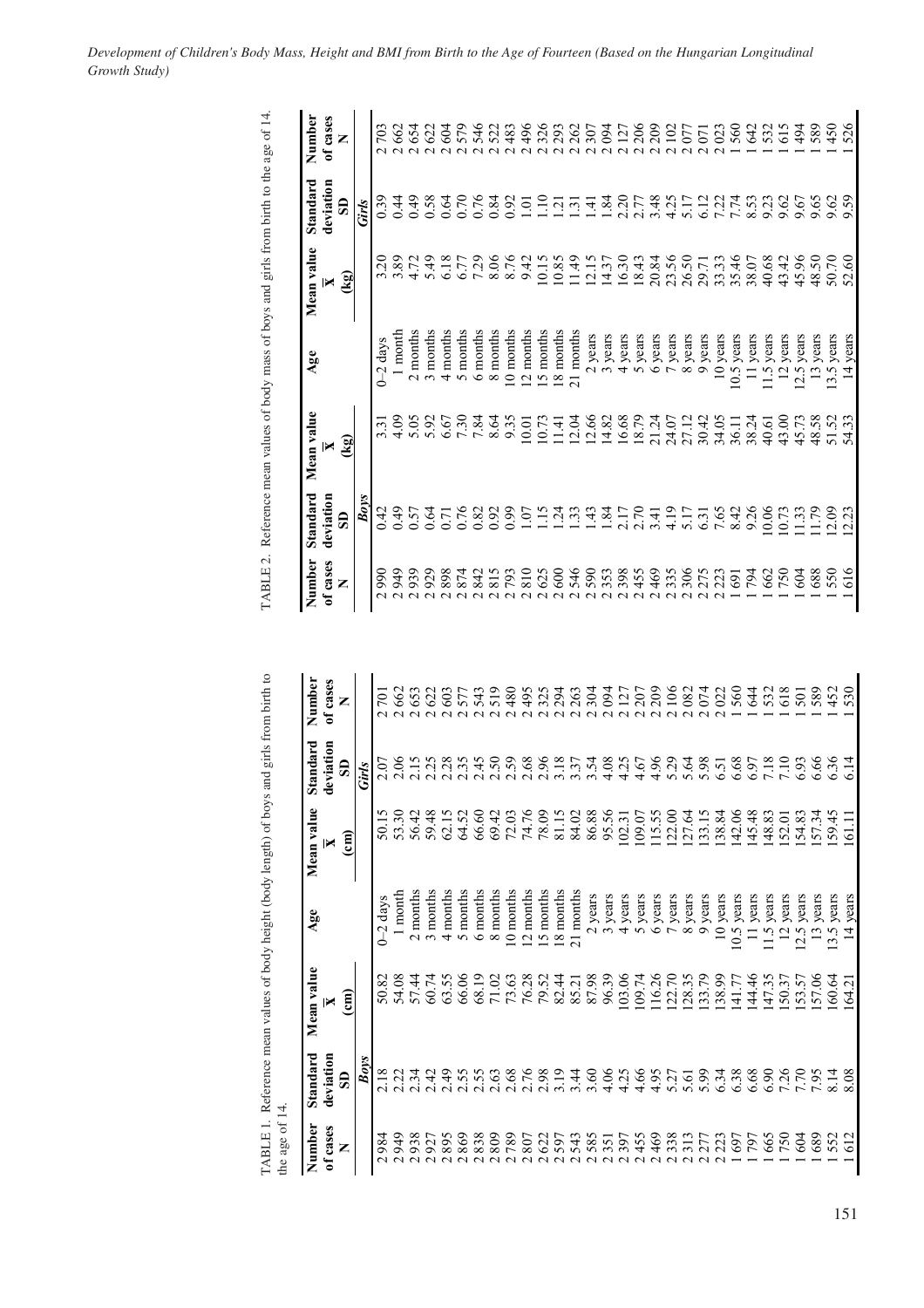| mber              | Number                          | Standard                             | Mean value         | Age                      | Mean value            | Standard                             | Number                   |
|-------------------|---------------------------------|--------------------------------------|--------------------|--------------------------|-----------------------|--------------------------------------|--------------------------|
| <b>rases</b><br>Z | of cases<br>Z                   | deviation<br>$\overline{\mathbf{s}}$ | ्रियो<br>स्थि<br>× |                          | (रथ<br>×              | deviation<br>$\overline{\mathbf{s}}$ | of cases<br>Z            |
|                   |                                 | Boys                                 |                    |                          |                       | Girls                                |                          |
| 701               | 990<br>$\overline{\mathcal{C}}$ | 0.42                                 | $3.\overline{3}$   | $0 - 2$ days             | $\tilde{\mathcal{L}}$ | 0.39                                 | 703                      |
| 662               | 949<br>$\overline{\mathcal{C}}$ | 64.0                                 | 4.09               | l month                  | 3.89                  | 0.44                                 | 662                      |
| 653               | 939<br>$\mathbf{\Omega}$        | 0.57                                 | 5.05               | 2 months                 | 4.72                  | 64.0                                 | 654                      |
|                   | 929                             | 0.64                                 | 5.92               | 3 months                 | 5.49                  | 0.58                                 | 622                      |
|                   | 898                             | 0.71                                 | 6.67               | 4 months                 | 6.18                  | 0.64                                 | 604                      |
|                   | 874                             | 0.76                                 | 7.30               | 5 months                 | 6.77                  | 0.70                                 | 579                      |
|                   | 842                             | 0.82                                 | 7.84               | 6 months                 | 7.29                  | 0.76                                 | 546                      |
|                   | 815                             | 0.92                                 | 8.64               | 8 months                 | 8.06                  | 0.84                                 | 522                      |
| 480               | 793                             | 6.99                                 | 9.35               | 10 months                | 8.76                  | 0.92                                 | 483                      |
| 495               | 810                             | 1.07                                 | 10.01              | 12 months                | 9.42                  | $\overline{0}$                       | 496                      |
| 325               | 625                             | $\frac{5}{1}$                        | 10.73              | 5 months                 | 10.15                 | $\Xi$                                | 326                      |
| 294               | 600                             | $\overline{24}$                      | $\overline{141}$   | 8 months                 | 10.85                 | $\overline{q}$                       | 293                      |
| 263               | 546                             | $\ddot{3}$                           | 12.04              | 21 months                | 11.49                 | $\tilde{\epsilon}$                   | 262                      |
| 304               | 590                             | $\ddot{4}$                           | 12.66              | 2 years                  | 12.15                 | न्                                   | 307                      |
| 094               | 353                             | 1.84                                 | 14.82              | 3 years                  | 14.37                 | 1.84                                 | $\mathcal{E}$            |
| 127               | 398                             | 2.17                                 | 16.68              | 4 years                  | 16.30                 | 2.20                                 | 127                      |
| 207               | 455                             | 2.70                                 | 18.79              | years<br>$\sqrt{2}$      | 18.43                 | 2.77                                 | 206                      |
| 209               | 469                             | 3.41                                 | 21.24              | years<br>$\circ$         | 20.84                 | 3.48                                 | 209                      |
| 106               | 335                             | 4.19                                 | 24.07              | years                    | 23.56                 | 4.25                                 | $\Xi$                    |
| 082<br>074        | 306                             | 5.17                                 | 27.12              | years<br>$\infty$        | 26.50                 | 5.17                                 | 077                      |
|                   | 275                             | 6.31                                 | 30.42              | years<br>Ó               | 29.71                 | 6.12                                 | $\overline{5}$<br>$\sim$ |
| 020<br>5644       | 223                             | 7.65                                 | 34.05              | 10 years                 | 33.33<br>35.46        | 7.74<br>7.75<br>8.53                 | $\overline{023}$         |
|                   | 691                             | 8.42<br>9.26                         | 36.11              | years<br>10.5            |                       |                                      | 560                      |
|                   | 794                             |                                      | 38.24              | years<br>$\equiv$        | 38.07                 |                                      | 642                      |
| 532<br>501        | 662                             | 0.06                                 | 40.61              | years<br>$\frac{1}{5}$   | 40.68                 | 9.23                                 | 532                      |
|                   | 750                             | 10.73                                | 43.00              | years<br>$\overline{5}$  | 43.42                 | 9.62                                 | 615                      |
|                   | 604                             | 1.33                                 | 45.73              | 12.5 years               | 45.96                 | 9.67                                 | 494                      |
| 589               | 688                             | 1.79                                 | 48.58              | years<br>$\overline{13}$ | 48.50                 | 9.65                                 | 589                      |
| 452               | 550                             | 2.09                                 | 51.52              | $13.5$ years             | 50.70                 | 9.62                                 | 450                      |
| 530               | 616                             | 2.23                                 | 54.33              | years<br>$\vec{r}$       | 52.60                 | 59                                   | 526                      |

|                                                                                             | $^{14}$   |
|---------------------------------------------------------------------------------------------|-----------|
|                                                                                             |           |
| TABLE 1. Reference mean values of body height (body length) of boys and girls from birth to | the age o |

TABLE 2. Reference mean values of body mass of boys and girls from birth to the age of 14.

TABLE 2. Reference mean values of body mass of boys and girls from birth to the age of 14.

| Number        | Standard                             | Mean value                  | Age                       | Mean value                  | Standard                   | Number                 |
|---------------|--------------------------------------|-----------------------------|---------------------------|-----------------------------|----------------------------|------------------------|
| of cases<br>Z | deviation<br>$\overline{\mathbf{s}}$ | $\widehat{\mathsf{g}}$<br>× |                           | $\widehat{\mathsf{c}}$<br>× | deviation<br>සි            | of cases<br>Z          |
|               | Boys                                 |                             |                           |                             | Girls                      |                        |
| 984           |                                      | 50.82                       | $0 - 2$ days              | 50.1                        |                            |                        |
| 949           |                                      |                             | 1 month                   | 53.30                       |                            | 662                    |
| 938<br>U U U  | 2. 3. 3.<br>2. 3. 3.                 | 54.08<br>57.44              | 2 months                  | 56.42                       | 05<br>06<br>01<br>01<br>01 | 653<br>$\alpha \alpha$ |
| 927           | 2.42                                 | 60.74                       | 3 months                  | 59.48                       | 2.25                       | 622<br>$\sim$          |
| 895           | 2.49                                 | 63.55                       | 4 months                  | 62.15                       | 2.28                       | 603<br>$\sim$          |
| 869           | 55.<br>$\mathbf{N}$                  | 66.06                       | 5 months                  | 64.52                       | 2.35                       | 57<br>$\sim$           |
| 838           | 2.55                                 | 68.19                       | 6 months                  | 66.60                       | 2.45                       | 54                     |
| 809           | 2.63                                 | 71.02                       | 8 months                  | 69.42                       | 2.50                       | 519                    |
| 789           | 2.68                                 | 73.63                       | 10 months                 | 72.03                       | 2.59                       | 480                    |
| 807           | 2.76                                 | 76.28                       | 12 months                 | 74.76                       | 2.68                       | $\frac{4}{9}$          |
| 622           | 2.98                                 | $\ddot{c}$<br>79.           | 15 months                 | 78.09                       | 2.96                       | 32                     |
| 597           | $\frac{9}{2}$                        | 82.44                       | 18 months                 | 81.15                       | 3.18                       | 294                    |
| 543           | 3.44                                 | 85.21                       | 21 months                 | 84.02                       | 3.37                       | 263<br>$\sim$          |
| 585           | 3.60                                 | 87.98                       | 2 years                   | 86.88                       | 3.54                       | 304                    |
| 351           | 4.06                                 | 96.39                       | years<br>$\sigma$         | 95.56                       | 4.08                       | 69                     |
| 397           | 4.25                                 | 03.06                       | 4 years                   | 102.31                      | 4.25                       | $\tilde{\Omega}$       |
| 455           | 4.66                                 | 109.74                      | 5 years                   | 109.07                      | 4.67                       | 207                    |
| 469           | 4.95                                 | 16.26                       | years<br>هَ               | 115.55                      | 4.96                       | 209                    |
| 338           | 5.27                                 | 22.70                       | years                     | 122.00                      | 5.29                       | $\frac{8}{10}$         |
|               | 5.61                                 | 28.35                       | years<br>$\infty$         | 7.64<br>$\sim$              | 5.64                       | 082                    |
|               | 5.99                                 | 33.79                       | years<br>$\sigma$         | 133.15                      | 5.98                       | 074                    |
| 223           | 6.34                                 | 38.99                       | years<br>$\overline{a}$   | 138.84                      | 6.51                       | 022                    |
| 697           | 6.38                                 | 1.77                        | years<br>10.5             | 142.06                      | 6.68                       | 560                    |
| 797           | 6.68                                 | 44.46                       | years                     | 145.48                      | 6.97                       | 644                    |
| 665           | 6.90                                 | 47.35                       | years<br>$\frac{11.5}{2}$ | 148.83                      | 7.18                       | 532                    |
| 750           | 7.26                                 | 50.37                       | years<br>$\overline{5}$   | [52.0]                      | 7.10                       | 618                    |
| 604           |                                      | 53.57                       | years<br>12.5             | 154.83                      | 6.93                       | 501                    |
| 689           | 56                                   | 57.06                       | years<br>$\overline{13}$  | 57.34                       | 6.66                       |                        |
| 552<br>612    |                                      | 60.64                       | years<br>13.5             | 59                          | 6.36                       |                        |
|               | 8.08                                 | $\sim$<br>$\mathfrak{A}$    | vears<br>$\overline{1}$   | $\overline{6}$              |                            | 530                    |

*Development of Children's Body Mass, Height and BMI from Birth to the Age of Fourteen (Based on the Hungarian Longitudinal Growth Study)*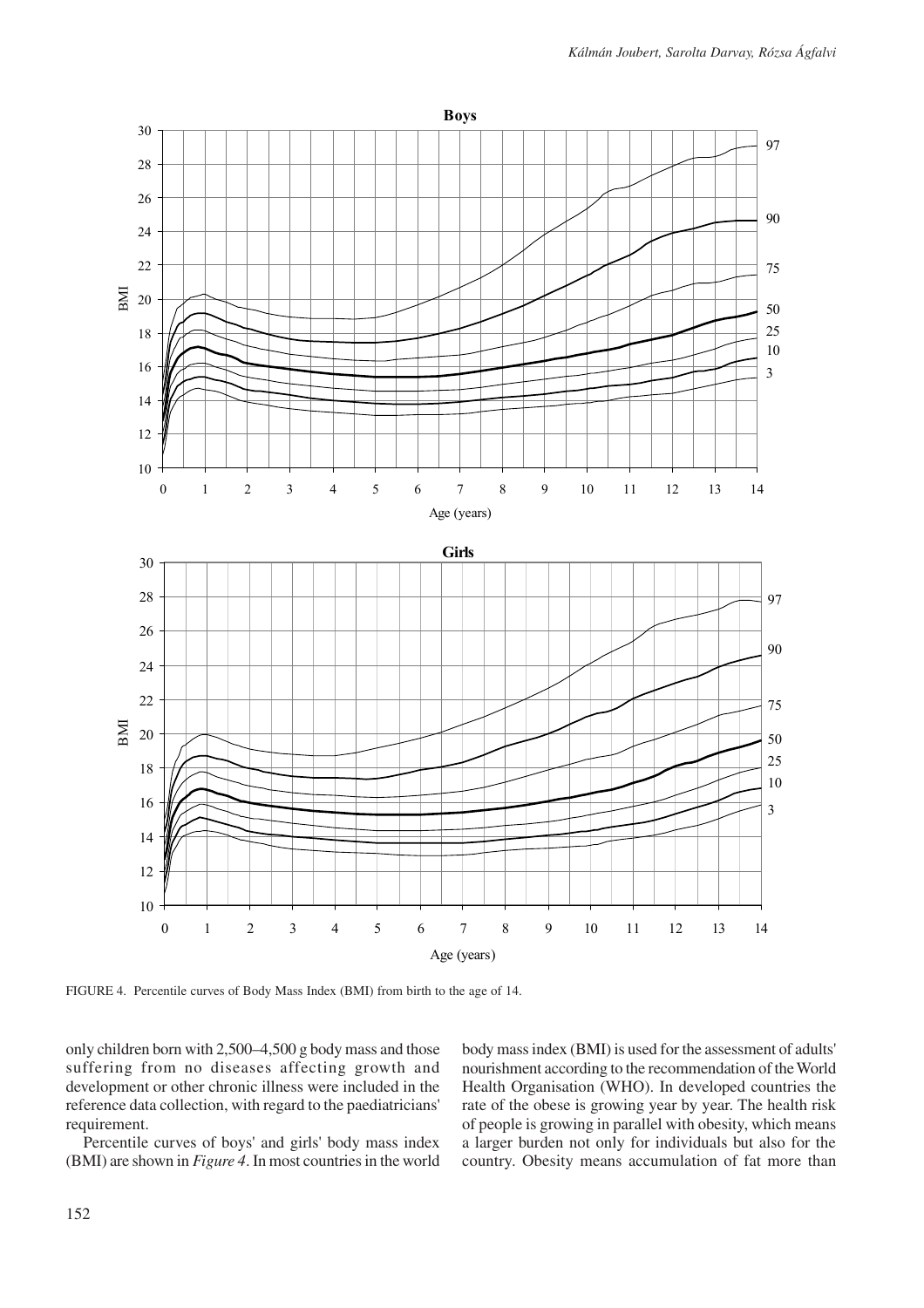

FIGURE 4. Percentile curves of Body Mass Index (BMI) from birth to the age of 14.

only children born with 2,500–4,500 g body mass and those suffering from no diseases affecting growth and development or other chronic illness were included in the reference data collection, with regard to the paediatricians' requirement.

Percentile curves of boys' and girls' body mass index (BMI) are shown in *Figure 4*. In most countries in the world body mass index (BMI) is used for the assessment of adults' nourishment according to the recommendation of the World Health Organisation (WHO). In developed countries the rate of the obese is growing year by year. The health risk of people is growing in parallel with obesity, which means a larger burden not only for individuals but also for the country. Obesity means accumulation of fat more than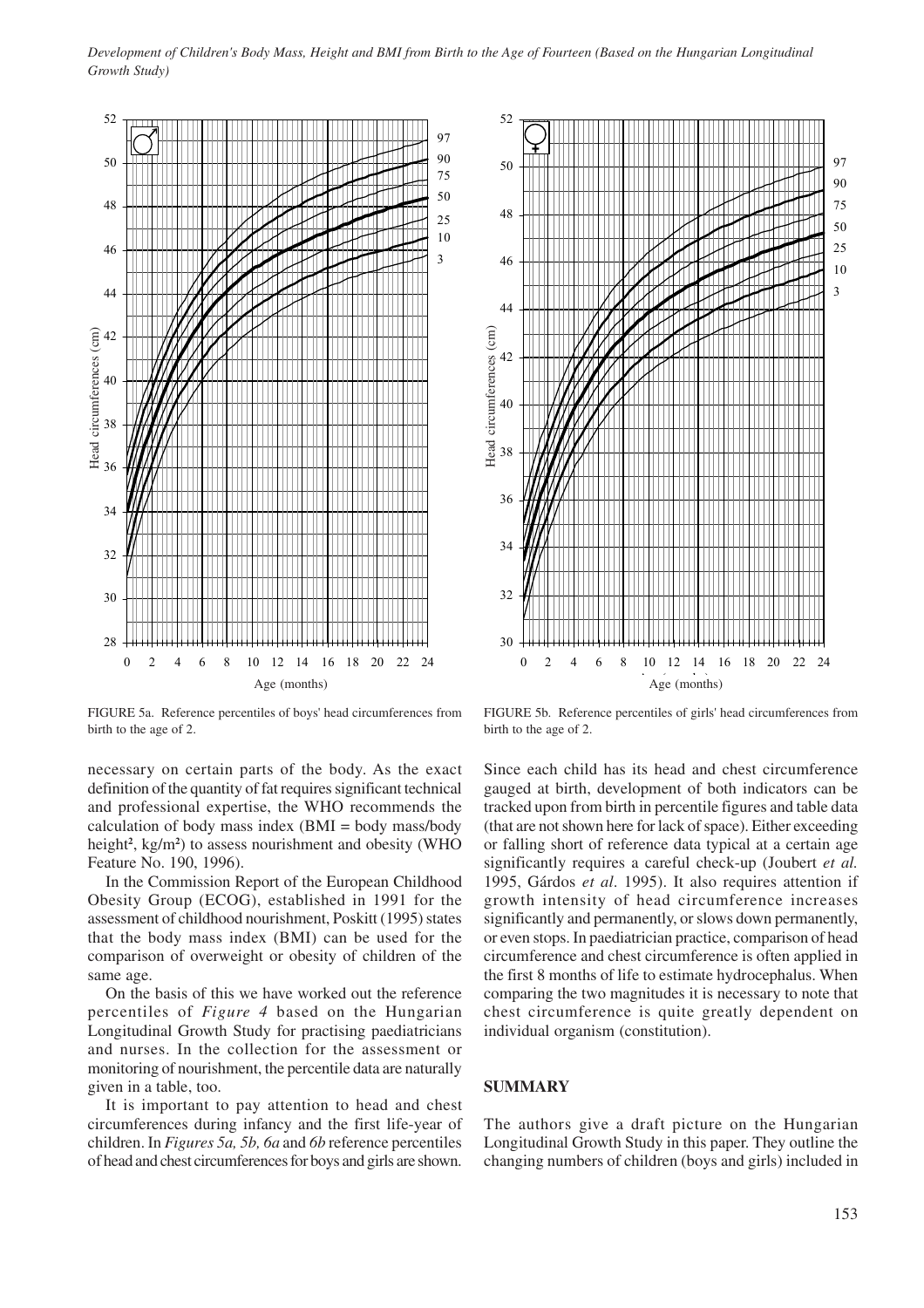

30 32 34 36 38 40 42 44 46 48 50 52 0 2 4 6 8 10 12 14 16 18 20 22 24  $Age (months)$ Head circumferences (cm) 3 10 25 50 75 90 97 Head circumferences (cm)

FIGURE 5a. Reference percentiles of boys' head circumferences from birth to the age of 2.

necessary on certain parts of the body. As the exact definition of the quantity of fat requires significant technical and professional expertise, the WHO recommends the calculation of body mass index  $(BMI = body \text{ mass/body})$ height**<sup>2</sup>** , kg/m**<sup>2</sup>** ) to assess nourishment and obesity (WHO Feature No. 190, 1996).

In the Commission Report of the European Childhood Obesity Group (ECOG), established in 1991 for the assessment of childhood nourishment, Poskitt (1995) states that the body mass index (BMI) can be used for the comparison of overweight or obesity of children of the same age.

On the basis of this we have worked out the reference percentiles of *Figure 4* based on the Hungarian Longitudinal Growth Study for practising paediatricians and nurses. In the collection for the assessment or monitoring of nourishment, the percentile data are naturally given in a table, too.

It is important to pay attention to head and chest circumferences during infancy and the first life-year of children. In *Figures 5a, 5b, 6a* and *6b* reference percentiles of head and chest circumferences for boys and girls are shown.

FIGURE 5b. Reference percentiles of girls' head circumferences from birth to the age of 2.

Since each child has its head and chest circumference gauged at birth, development of both indicators can be tracked upon from birth in percentile figures and table data (that are not shown here for lack of space). Either exceeding or falling short of reference data typical at a certain age significantly requires a careful check-up (Joubert *et al.* 1995, Gárdos *et al*. 1995). It also requires attention if growth intensity of head circumference increases significantly and permanently, or slows down permanently, or even stops. In paediatrician practice, comparison of head circumference and chest circumference is often applied in the first 8 months of life to estimate hydrocephalus. When comparing the two magnitudes it is necessary to note that chest circumference is quite greatly dependent on individual organism (constitution).

### **SUMMARY**

The authors give a draft picture on the Hungarian Longitudinal Growth Study in this paper. They outline the changing numbers of children (boys and girls) included in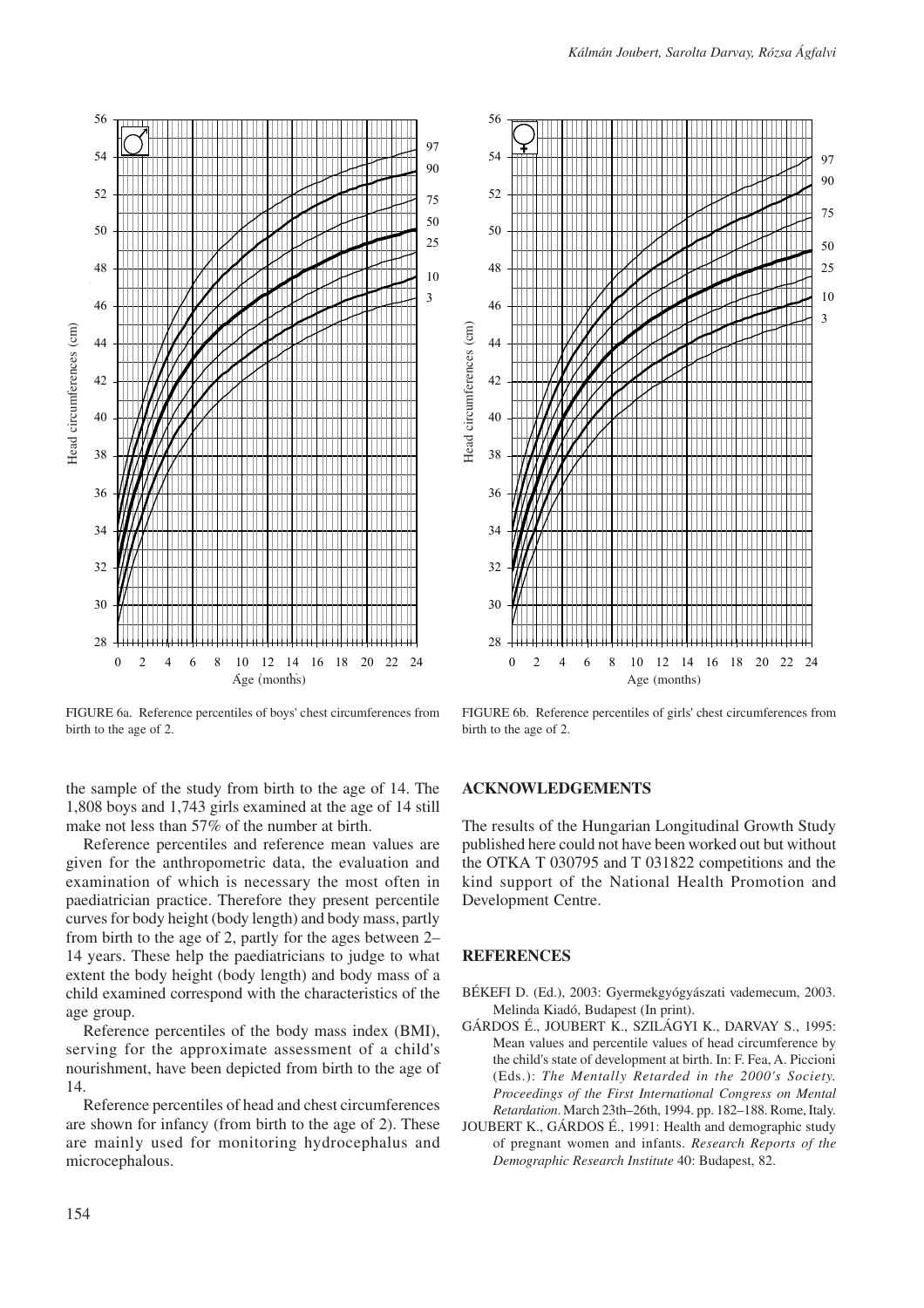



FIGURE 6a. Reference percentiles of boys' chest circumferences from birth to the age of 2.

the sample of the study from birth to the age of 14. The 1,808 boys and 1,743 girls examined at the age of 14 still make not less than 57% of the number at birth.

Reference percentiles and reference mean values are given for the anthropometric data, the evaluation and examination of which is necessary the most often in paediatrician practice. Therefore they present percentile curves for body height (body length) and body mass, partly from birth to the age of 2, partly for the ages between 2– 14 years. These help the paediatricians to judge to what extent the body height (body length) and body mass of a child examined correspond with the characteristics of the age group.

Reference percentiles of the body mass index (BMI), serving for the approximate assessment of a child's nourishment, have been depicted from birth to the age of 14.

Reference percentiles of head and chest circumferences are shown for infancy (from birth to the age of 2). These are mainly used for monitoring hydrocephalus and microcephalous.



FIGURE 6b. Reference percentiles of girls' chest circumferences from birth to the age of 2.

# **ACKNOWLEDGEMENTS**

The results of the Hungarian Longitudinal Growth Study published here could not have been worked out but without the OTKA T 030795 and T 031822 competitions and the kind support of the National Health Promotion and Development Centre.

#### **REFERENCES**

- BÉKEFI D. (Ed.), 2003: Gyermekgyógyászati vademecum, 2003. Melinda Kiadó, Budapest (In print).
- GÁRDOS É., JOUBERT K., SZILÁGYI K., DARVAY S., 1995: Mean values and percentile values of head circumference by the child's state of development at birth. In: F. Fea, A. Piccioni (Eds.): *The Mentally Retarded in the 2000's Society. Proceedings of the First International Congress on Mental Retardation*. March 23th–26th, 1994. pp. 182–188. Rome, Italy.
- JOUBERT K., GÁRDOS É., 1991: Health and demographic study of pregnant women and infants. *Research Reports of the Demographic Research Institute* 40: Budapest, 82.